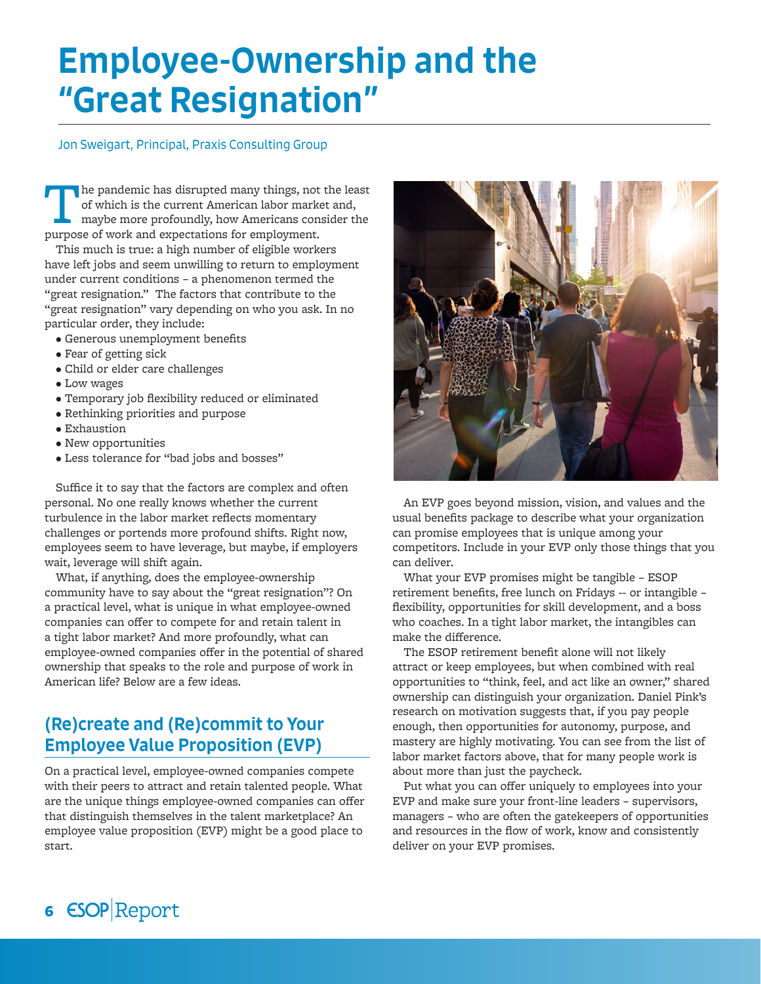# Employee-Ownership and the "Great Resignation"

#### Jon Sweigart, Principal, Praxis Consulting Group

The pandemic has disrupted many things, not of which is the current American labor marked maybe more profoundly, how Americans conspurpose of work and expectations for employment. he pandemic has disrupted many things, not the least of which is the current American labor market and, maybe more profoundly, how Americans consider the

This much is true: a high number of eligible workers have left jobs and seem unwilling to return to employment under current conditions – a phenomenon termed the "great resignation." The factors that contribute to the "great resignation" vary depending on who you ask. In no particular order, they include:

- Generous unemployment benefits
- Fear of getting sick
- Child or elder care challenges
- Low wages
- Temporary job flexibility reduced or eliminated
- Rethinking priorities and purpose
- Exhaustion
- New opportunities
- Less tolerance for "bad jobs and bosses"

Suffice it to say that the factors are complex and often personal. No one really knows whether the current turbulence in the labor market reflects momentary challenges or portends more profound shifts. Right now, employees seem to have leverage, but maybe, if employers wait, leverage will shift again.

What, if anything, does the employee-ownership community have to say about the "great resignation"? On a practical level, what is unique in what employee-owned companies can offer to compete for and retain talent in a tight labor market? And more profoundly, what can employee-owned companies offer in the potential of shared ownership that speaks to the role and purpose of work in American life? Below are a few ideas.

# (Re)create and (Re)commit to Your Employee Value Proposition (EVP)

On a practical level, employee-owned companies compete with their peers to attract and retain talented people. What are the unique things employee-owned companies can offer that distinguish themselves in the talent marketplace? An employee value proposition (EVP) might be a good place to start.



An EVP goes beyond mission, vision, and values and the usual benefits package to describe what your organization can promise employees that is unique among your competitors. Include in your EVP only those things that you can deliver.

What your EVP promises might be tangible – ESOP retirement benefits, free lunch on Fridays -- or intangible – flexibility, opportunities for skill development, and a boss who coaches. In a tight labor market, the intangibles can make the difference.

The ESOP retirement benefit alone will not likely attract or keep employees, but when combined with real opportunities to "think, feel, and act like an owner," shared ownership can distinguish your organization. Daniel Pink's research on motivation suggests that, if you pay people enough, then opportunities for autonomy, purpose, and mastery are highly motivating. You can see from the list of labor market factors above, that for many people work is about more than just the paycheck.

Put what you can offer uniquely to employees into your EVP and make sure your front-line leaders – supervisors, managers – who are often the gatekeepers of opportunities and resources in the flow of work, know and consistently deliver on your EVP promises.